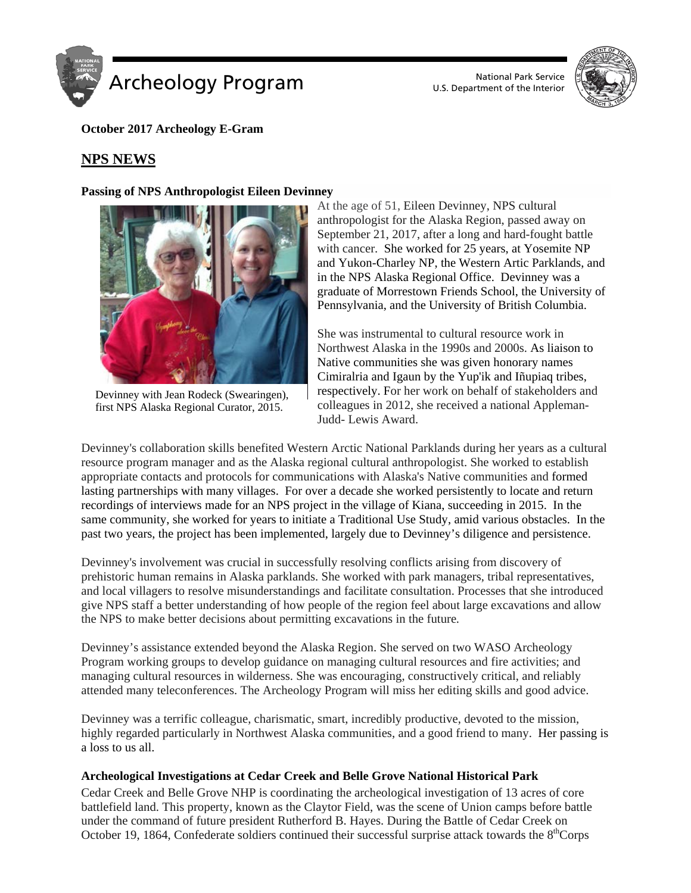



**October 2017 Archeology E-Gram**

# **NPS NEWS**

### **Passing of NPS Anthropologist Eileen Devinney**



Devinney with Jean Rodeck (Swearingen), first NPS Alaska Regional Curator, 2015.

At the age of 51, Eileen Devinney, NPS cultural anthropologist for the Alaska Region, passed away on September 21, 2017, after a long and hard-fought battle with cancer. She worked for 25 years, at Yosemite NP and Yukon-Charley NP, the Western Artic Parklands, and in the NPS Alaska Regional Office. Devinney was a graduate of Morrestown Friends School, the University of Pennsylvania, and the University of British Columbia.

She was instrumental to cultural resource work in Northwest Alaska in the 1990s and 2000s. As liaison to Native communities she was given honorary names Cimiralria and Igaun by the Yup'ik and Iñupiaq tribes, respectively. For her work on behalf of stakeholders and colleagues in 2012, she received a national Appleman-Judd- Lewis Award.

Devinney's collaboration skills benefited Western Arctic National Parklands during her years as a cultural resource program manager and as the Alaska regional cultural anthropologist. She worked to establish appropriate contacts and protocols for communications with Alaska's Native communities and formed lasting partnerships with many villages. For over a decade she worked persistently to locate and return recordings of interviews made for an NPS project in the village of Kiana, succeeding in 2015. In the same community, she worked for years to initiate a Traditional Use Study, amid various obstacles. In the past two years, the project has been implemented, largely due to Devinney's diligence and persistence.

Devinney's involvement was crucial in successfully resolving conflicts arising from discovery of prehistoric human remains in Alaska parklands. She worked with park managers, tribal representatives, and local villagers to resolve misunderstandings and facilitate consultation. Processes that she introduced give NPS staff a better understanding of how people of the region feel about large excavations and allow the NPS to make better decisions about permitting excavations in the future*.*

Devinney's assistance extended beyond the Alaska Region. She served on two WASO Archeology Program working groups to develop guidance on managing cultural resources and fire activities; and managing cultural resources in wilderness. She was encouraging, constructively critical, and reliably attended many teleconferences. The Archeology Program will miss her editing skills and good advice.

Devinney was a terrific colleague, charismatic, smart, incredibly productive, devoted to the mission, highly regarded particularly in Northwest Alaska communities, and a good friend to many. Her passing is a loss to us all.

### **Archeological Investigations at Cedar Creek and Belle Grove National Historical Park**

Cedar Creek and Belle Grove NHP is coordinating the archeological investigation of 13 acres of core battlefield land. This property, known as the Claytor Field, was the scene of Union camps before battle under the command of future president Rutherford B. Hayes. During the Battle of Cedar Creek on October 19, 1864, Confederate soldiers continued their successful surprise attack towards the  $8<sup>th</sup>Corps$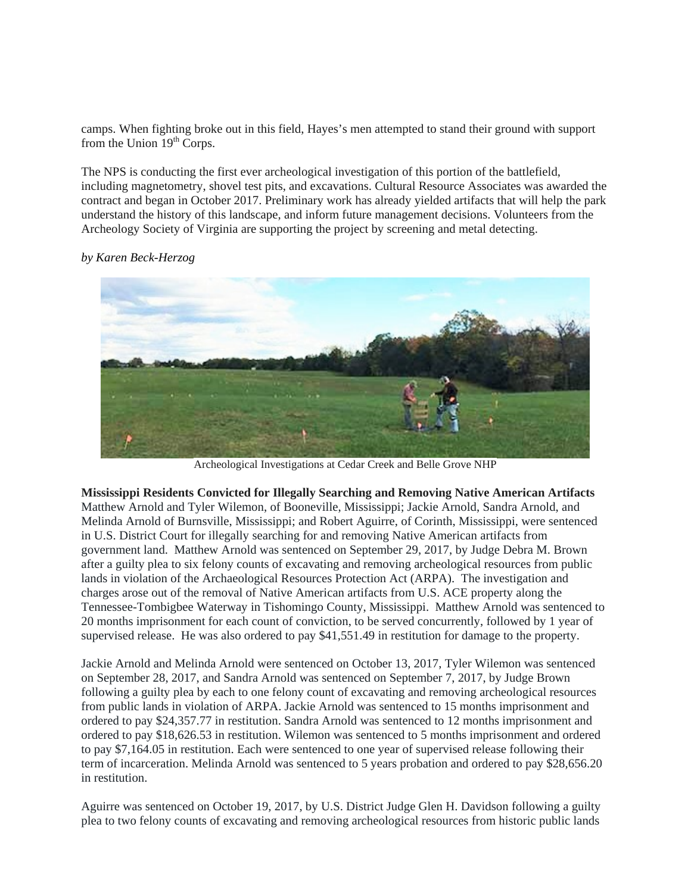camps. When fighting broke out in this field, Hayes's men attempted to stand their ground with support from the Union  $19<sup>th</sup>$  Corps.

The NPS is conducting the first ever archeological investigation of this portion of the battlefield, including magnetometry, shovel test pits, and excavations. Cultural Resource Associates was awarded the contract and began in October 2017. Preliminary work has already yielded artifacts that will help the park understand the history of this landscape, and inform future management decisions. Volunteers from the Archeology Society of Virginia are supporting the project by screening and metal detecting.



*by Karen Beck-Herzog*

Archeological Investigations at Cedar Creek and Belle Grove NHP

**Mississippi Residents Convicted for Illegally Searching and Removing Native American Artifacts** Matthew Arnold and Tyler Wilemon, of Booneville, Mississippi; Jackie Arnold, Sandra Arnold, and Melinda Arnold of Burnsville, Mississippi; and Robert Aguirre, of Corinth, Mississippi, were sentenced in U.S. District Court for illegally searching for and removing Native American artifacts from government land. Matthew Arnold was sentenced on September 29, 2017, by Judge Debra M. Brown after a guilty plea to six felony counts of excavating and removing archeological resources from public lands in violation of the Archaeological Resources Protection Act (ARPA). The investigation and charges arose out of the removal of Native American artifacts from U.S. ACE property along the Tennessee-Tombigbee Waterway in Tishomingo County, Mississippi. Matthew Arnold was sentenced to 20 months imprisonment for each count of conviction, to be served concurrently, followed by 1 year of supervised release. He was also ordered to pay \$41,551.49 in restitution for damage to the property.

Jackie Arnold and Melinda Arnold were sentenced on October 13, 2017, Tyler Wilemon was sentenced on September 28, 2017, and Sandra Arnold was sentenced on September 7, 2017, by Judge Brown following a guilty plea by each to one felony count of excavating and removing archeological resources from public lands in violation of ARPA. Jackie Arnold was sentenced to 15 months imprisonment and ordered to pay \$24,357.77 in restitution. Sandra Arnold was sentenced to 12 months imprisonment and ordered to pay \$18,626.53 in restitution. Wilemon was sentenced to 5 months imprisonment and ordered to pay \$7,164.05 in restitution. Each were sentenced to one year of supervised release following their term of incarceration. Melinda Arnold was sentenced to 5 years probation and ordered to pay \$28,656.20 in restitution.

Aguirre was sentenced on October 19, 2017, by U.S. District Judge Glen H. Davidson following a guilty plea to two felony counts of excavating and removing archeological resources from historic public lands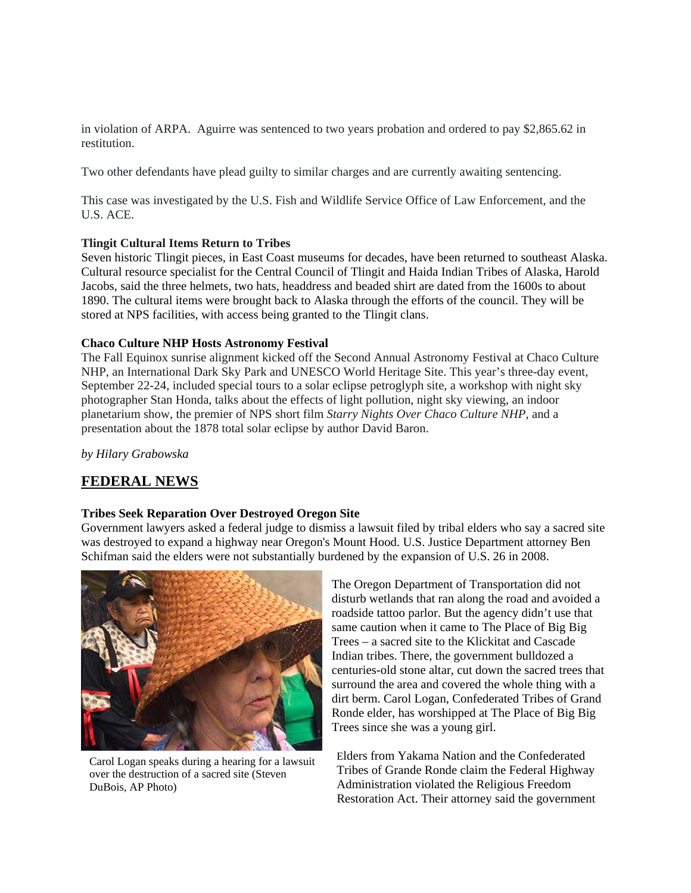in violation of ARPA. Aguirre was sentenced to two years probation and ordered to pay \$2,865.62 in restitution.

Two other defendants have plead guilty to similar charges and are currently awaiting sentencing.

This case was investigated by the U.S. Fish and Wildlife Service Office of Law Enforcement, and the U.S. ACE.

#### **Tlingit Cultural Items Return to Tribes**

Seven historic Tlingit pieces, in East Coast museums for decades, have been returned to southeast Alaska. Cultural resource specialist for the Central Council of Tlingit and Haida Indian Tribes of Alaska, Harold Jacobs, said the three helmets, two hats, headdress and beaded shirt are dated from the 1600s to about 1890. The cultural items were brought back to Alaska through the efforts of the council. They will be stored at NPS facilities, with access being granted to the Tlingit clans.

#### **Chaco Culture NHP Hosts Astronomy Festival**

The Fall Equinox sunrise alignment kicked off the Second Annual Astronomy Festival at Chaco Culture NHP, an International Dark Sky Park and UNESCO World Heritage Site. This year's three-day event, September 22-24, included special tours to a solar eclipse petroglyph site, a workshop with night sky photographer Stan Honda, talks about the effects of light pollution, night sky viewing, an indoor planetarium show, the premier of NPS short film *Starry Nights Over Chaco Culture NHP*, and a presentation about the 1878 total solar eclipse by author David Baron.

*by Hilary Grabowska* 

### **FEDERAL NEWS**

#### **Tribes Seek Reparation Over Destroyed Oregon Site**

Government lawyers asked a federal judge to dismiss a lawsuit filed by tribal elders who say a sacred site was destroyed to expand a highway near Oregon's Mount Hood. U.S. Justice Department attorney Ben Schifman said the elders were not substantially burdened by the expansion of U.S. 26 in 2008.



Carol Logan speaks during a hearing for a lawsuit over the destruction of a sacred site (Steven DuBois, AP Photo)

The Oregon Department of Transportation did not disturb wetlands that ran along the road and avoided a roadside tattoo parlor. But the agency didn't use that same caution when it came to The Place of Big Big Trees – a sacred site to the Klickitat and Cascade Indian tribes. There, the government bulldozed a centuries-old stone altar, cut down the sacred trees that surround the area and covered the whole thing with a dirt berm. Carol Logan, Confederated Tribes of Grand Ronde elder, has worshipped at The Place of Big Big Trees since she was a young girl.

Elders from Yakama Nation and the Confederated Tribes of Grande Ronde claim the Federal Highway Administration violated the Religious Freedom Restoration Act. Their attorney said the government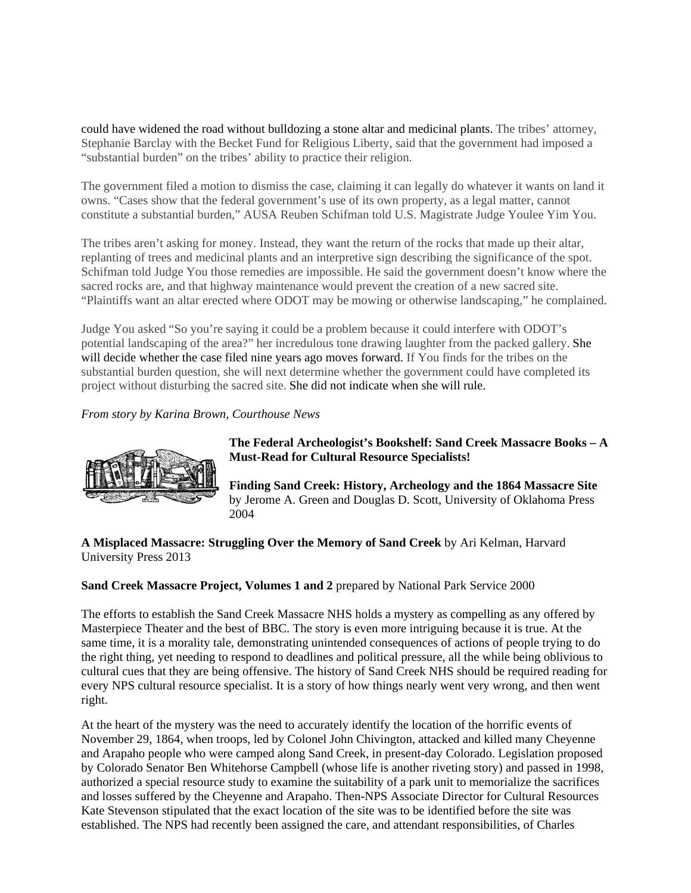could have widened the road without bulldozing a stone altar and medicinal plants. The tribes' attorney, Stephanie Barclay with the Becket Fund for Religious Liberty, said that the government had imposed a "substantial burden" on the tribes' ability to practice their religion.

The government filed a motion to dismiss the case, claiming it can legally do whatever it wants on land it owns. "Cases show that the federal government's use of its own property, as a legal matter, cannot constitute a substantial burden," AUSA Reuben Schifman told U.S. Magistrate Judge Youlee Yim You.

The tribes aren't asking for money. Instead, they want the return of the rocks that made up their altar, replanting of trees and medicinal plants and an interpretive sign describing the significance of the spot. Schifman told Judge You those remedies are impossible. He said the government doesn't know where the sacred rocks are, and that highway maintenance would prevent the creation of a new sacred site. "Plaintiffs want an altar erected where ODOT may be mowing or otherwise landscaping," he complained.

Judge You asked "So you're saying it could be a problem because it could interfere with ODOT's potential landscaping of the area?" her incredulous tone drawing laughter from the packed gallery. She will decide whether the case filed nine years ago moves forward. If You finds for the tribes on the substantial burden question, she will next determine whether the government could have completed its project without disturbing the sacred site. She did not indicate when she will rule.

*From story by Karina Brown, Courthouse News*



**The Federal Archeologist's Bookshelf: Sand Creek Massacre Books – A Must-Read for Cultural Resource Specialists!**

**Finding Sand Creek: History, Archeology and the 1864 Massacre Site** by Jerome A. Green and Douglas D. Scott, University of Oklahoma Press 2004

**A Misplaced Massacre: Struggling Over the Memory of Sand Creek** by Ari Kelman, Harvard University Press 2013

### **Sand Creek Massacre Project, Volumes 1 and 2** prepared by National Park Service 2000

The efforts to establish the Sand Creek Massacre NHS holds a mystery as compelling as any offered by Masterpiece Theater and the best of BBC. The story is even more intriguing because it is true. At the same time, it is a morality tale, demonstrating unintended consequences of actions of people trying to do the right thing, yet needing to respond to deadlines and political pressure, all the while being oblivious to cultural cues that they are being offensive. The history of Sand Creek NHS should be required reading for every NPS cultural resource specialist. It is a story of how things nearly went very wrong, and then went right.

At the heart of the mystery was the need to accurately identify the location of the horrific events of November 29, 1864, when troops, led by Colonel John Chivington, attacked and killed many Cheyenne and Arapaho people who were camped along Sand Creek, in present-day Colorado. Legislation proposed by Colorado Senator Ben Whitehorse Campbell (whose life is another riveting story) and passed in 1998, authorized a special resource study to examine the suitability of a park unit to memorialize the sacrifices and losses suffered by the Cheyenne and Arapaho. Then-NPS Associate Director for Cultural Resources Kate Stevenson stipulated that the exact location of the site was to be identified before the site was established. The NPS had recently been assigned the care, and attendant responsibilities, of Charles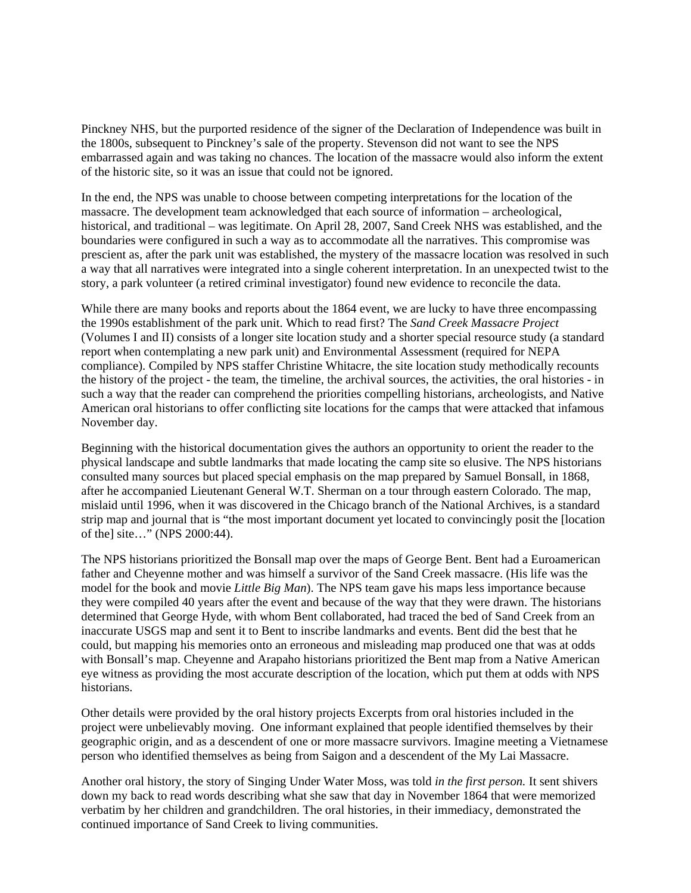Pinckney NHS, but the purported residence of the signer of the Declaration of Independence was built in the 1800s, subsequent to Pinckney's sale of the property. Stevenson did not want to see the NPS embarrassed again and was taking no chances. The location of the massacre would also inform the extent of the historic site, so it was an issue that could not be ignored.

In the end, the NPS was unable to choose between competing interpretations for the location of the massacre. The development team acknowledged that each source of information – archeological, historical, and traditional – was legitimate. On April 28, 2007, Sand Creek NHS was established, and the boundaries were configured in such a way as to accommodate all the narratives. This compromise was prescient as, after the park unit was established, the mystery of the massacre location was resolved in such a way that all narratives were integrated into a single coherent interpretation. In an unexpected twist to the story, a park volunteer (a retired criminal investigator) found new evidence to reconcile the data.

While there are many books and reports about the 1864 event, we are lucky to have three encompassing the 1990s establishment of the park unit. Which to read first? The *Sand Creek Massacre Project* (Volumes I and II) consists of a longer site location study and a shorter special resource study (a standard report when contemplating a new park unit) and Environmental Assessment (required for NEPA compliance). Compiled by NPS staffer Christine Whitacre, the site location study methodically recounts the history of the project - the team, the timeline, the archival sources, the activities, the oral histories - in such a way that the reader can comprehend the priorities compelling historians, archeologists, and Native American oral historians to offer conflicting site locations for the camps that were attacked that infamous November day.

Beginning with the historical documentation gives the authors an opportunity to orient the reader to the physical landscape and subtle landmarks that made locating the camp site so elusive. The NPS historians consulted many sources but placed special emphasis on the map prepared by Samuel Bonsall, in 1868, after he accompanied Lieutenant General W.T. Sherman on a tour through eastern Colorado. The map, mislaid until 1996, when it was discovered in the Chicago branch of the National Archives, is a standard strip map and journal that is "the most important document yet located to convincingly posit the [location of the] site…" (NPS 2000:44).

The NPS historians prioritized the Bonsall map over the maps of George Bent. Bent had a Euroamerican father and Cheyenne mother and was himself a survivor of the Sand Creek massacre. (His life was the model for the book and movie *Little Big Man*). The NPS team gave his maps less importance because they were compiled 40 years after the event and because of the way that they were drawn. The historians determined that George Hyde, with whom Bent collaborated, had traced the bed of Sand Creek from an inaccurate USGS map and sent it to Bent to inscribe landmarks and events. Bent did the best that he could, but mapping his memories onto an erroneous and misleading map produced one that was at odds with Bonsall's map. Cheyenne and Arapaho historians prioritized the Bent map from a Native American eye witness as providing the most accurate description of the location, which put them at odds with NPS historians.

Other details were provided by the oral history projects Excerpts from oral histories included in the project were unbelievably moving. One informant explained that people identified themselves by their geographic origin, and as a descendent of one or more massacre survivors. Imagine meeting a Vietnamese person who identified themselves as being from Saigon and a descendent of the My Lai Massacre.

Another oral history, the story of Singing Under Water Moss, was told *in the first person.* It sent shivers down my back to read words describing what she saw that day in November 1864 that were memorized verbatim by her children and grandchildren. The oral histories, in their immediacy, demonstrated the continued importance of Sand Creek to living communities.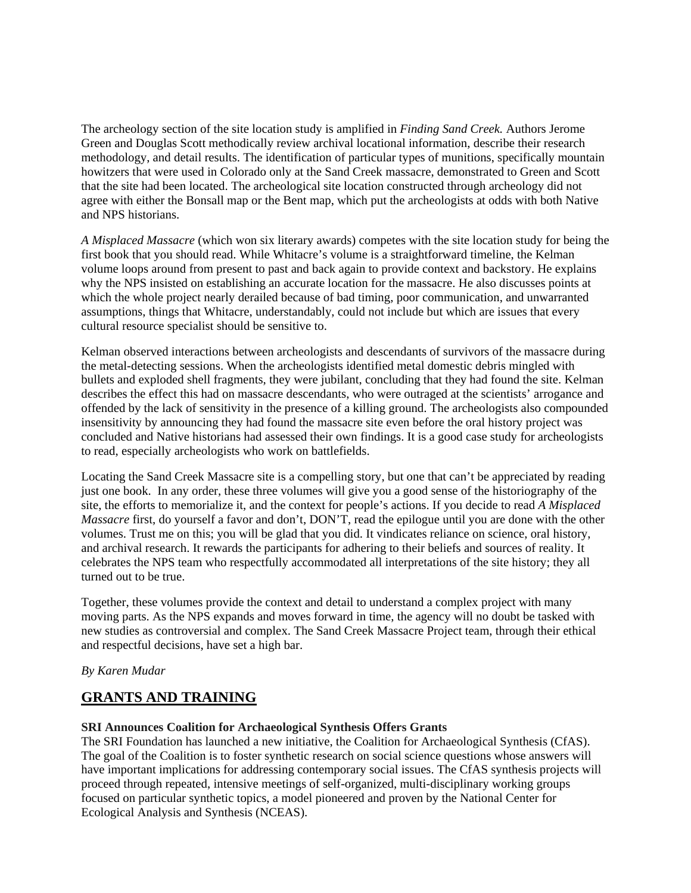The archeology section of the site location study is amplified in *Finding Sand Creek.* Authors Jerome Green and Douglas Scott methodically review archival locational information, describe their research methodology, and detail results. The identification of particular types of munitions, specifically mountain howitzers that were used in Colorado only at the Sand Creek massacre, demonstrated to Green and Scott that the site had been located. The archeological site location constructed through archeology did not agree with either the Bonsall map or the Bent map, which put the archeologists at odds with both Native and NPS historians.

*A Misplaced Massacre* (which won six literary awards) competes with the site location study for being the first book that you should read. While Whitacre's volume is a straightforward timeline, the Kelman volume loops around from present to past and back again to provide context and backstory. He explains why the NPS insisted on establishing an accurate location for the massacre. He also discusses points at which the whole project nearly derailed because of bad timing, poor communication, and unwarranted assumptions, things that Whitacre, understandably, could not include but which are issues that every cultural resource specialist should be sensitive to.

Kelman observed interactions between archeologists and descendants of survivors of the massacre during the metal-detecting sessions. When the archeologists identified metal domestic debris mingled with bullets and exploded shell fragments, they were jubilant, concluding that they had found the site. Kelman describes the effect this had on massacre descendants, who were outraged at the scientists' arrogance and offended by the lack of sensitivity in the presence of a killing ground. The archeologists also compounded insensitivity by announcing they had found the massacre site even before the oral history project was concluded and Native historians had assessed their own findings. It is a good case study for archeologists to read, especially archeologists who work on battlefields.

Locating the Sand Creek Massacre site is a compelling story, but one that can't be appreciated by reading just one book. In any order, these three volumes will give you a good sense of the historiography of the site, the efforts to memorialize it, and the context for people's actions. If you decide to read *A Misplaced Massacre* first, do yourself a favor and don't, DON'T, read the epilogue until you are done with the other volumes. Trust me on this; you will be glad that you did. It vindicates reliance on science, oral history, and archival research. It rewards the participants for adhering to their beliefs and sources of reality. It celebrates the NPS team who respectfully accommodated all interpretations of the site history; they all turned out to be true.

Together, these volumes provide the context and detail to understand a complex project with many moving parts. As the NPS expands and moves forward in time, the agency will no doubt be tasked with new studies as controversial and complex. The Sand Creek Massacre Project team, through their ethical and respectful decisions, have set a high bar.

### *By Karen Mudar*

## **GRANTS AND TRAINING**

### **SRI Announces Coalition for Archaeological Synthesis Offers Grants**

The SRI Foundation has launched a new initiative, the Coalition for Archaeological Synthesis (CfAS). The goal of the Coalition is to foster synthetic research on social science questions whose answers will have important implications for addressing contemporary social issues. The CfAS synthesis projects will proceed through repeated, intensive meetings of self-organized, multi-disciplinary working groups focused on particular synthetic topics, a model pioneered and proven by the National Center for Ecological Analysis and Synthesis (NCEAS).